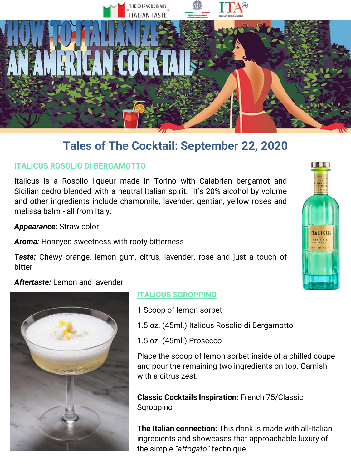

## **ITALICUS ROSOLIO DI BERGAMOTTO**

Italicus is a Rosolio liqueur made in Torino with Calabrian bergamot and Sicilian cedro blended with a neutral Italian spirit. It's 20% alcohol by volume and other ingredients include chamomile, lavender, gentian, yellow roses and melissa balm - all from Italy.

*Appearance:* Straw color

*Aroma:* Honeyed sweetness with rooty bitterness

*Taste:* Chewy orange, lemon gum, citrus, lavender, rose and just a touch of bitter

### *Aftertaste:* Lemon and lavender



### **ITALICUS SGROPPINO**

- 1 Scoop of lemon sorbet
- 1.5 oz. (45ml.) Italicus Rosolio di Bergamotto
- 1.5 oz. (45ml.) Prosecco

Place the scoop of lemon sorbet inside of a chilled coupe and pour the remaining two ingredients on top. Garnish with a citrus zest.

**Classic Cocktails Inspiration:** French 75/Classic Sgroppino

**The Italian connection:** This drink is made with all-Italian ingredients and showcases that approachable luxury of the simple *"affogato"* technique.

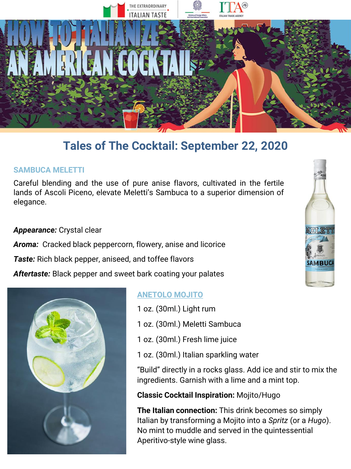

#### **SAMBUCA MELETTI**

Careful blending and the use of pure anise flavors, cultivated in the fertile lands of Ascoli Piceno, elevate Meletti's Sambuca to a superior dimension of elegance.

#### *Appearance:* Crystal clear

*Aroma:* Cracked black peppercorn, flowery, anise and licorice

*Taste:* Rich black pepper, aniseed, and toffee flavors

*Aftertaste:* Black pepper and sweet bark coating your palates



### **ANETOLO MOJITO**

- 1 oz. (30ml.) Light rum
- 1 oz. (30ml.) Meletti Sambuca
- 1 oz. (30ml.) Fresh lime juice
- 1 oz. (30ml.) Italian sparkling water

"Build" directly in a rocks glass. Add ice and stir to mix the ingredients. Garnish with a lime and a mint top.

#### **Classic Cocktail Inspiration:** Mojito/Hugo

**The Italian connection:** This drink becomes so simply Italian by transforming a Mojito into a *Spritz* (or a *Hugo*). No mint to muddle and served in the quintessential Aperitivo-style wine glass.

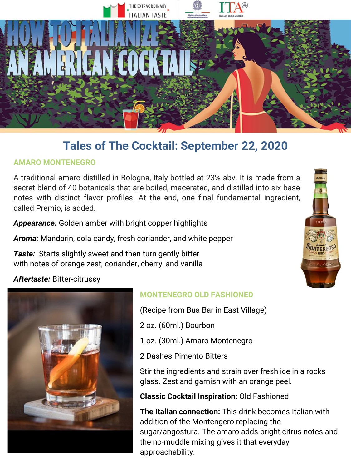

## **AMARO MONTENEGRO**

A traditional amaro distilled in Bologna, Italy bottled at 23% abv. It is made from a secret blend of 40 botanicals that are boiled, macerated, and distilled into six base notes with distinct flavor profiles. At the end, one final fundamental ingredient, called Premio, is added.

*Appearance:* Golden amber with bright copper highlights

*Aroma:* Mandarin, cola candy, fresh coriander, and white pepper

*Taste:* Starts slightly sweet and then turn gently bitter with notes of orange zest, coriander, cherry, and vanilla

## *Aftertaste:* Bitter-citrussy



## **MONTENEGRO OLD FASHIONED**

(Recipe from Bua Bar in East Village)

2 oz. (60ml.) Bourbon

- 1 oz. (30ml.) Amaro Montenegro
- 2 Dashes Pimento Bitters

Stir the ingredients and strain over fresh ice in a rocks glass. Zest and garnish with an orange peel.

**Classic Cocktail Inspiration:** Old Fashioned

**The Italian connection:** This drink becomes Italian with addition of the Montengero replacing the sugar/angostura. The amaro adds bright citrus notes and the no-muddle mixing gives it that everyday approachability.